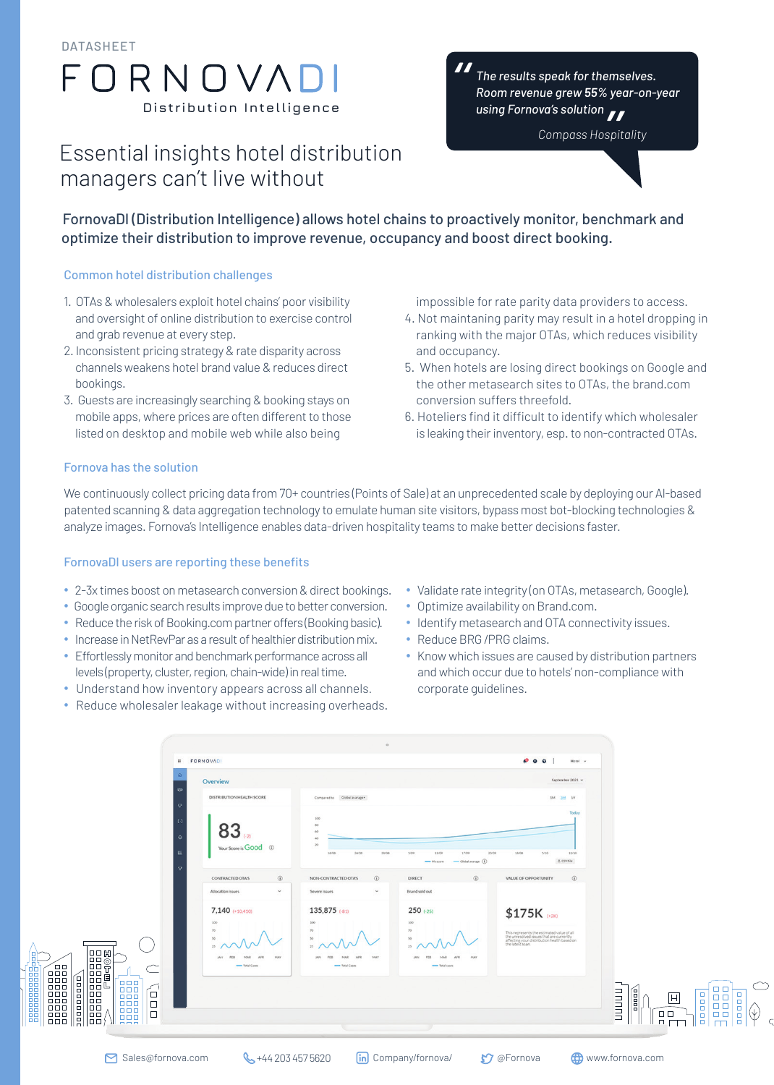DATASHEET

# $\bigcap R N \bigcap V \bigwedge$ **Distribution Intelligence**

# Essential insights hotel distribution managers can't live without

*The results speak for themselves. Room revenue grew 55% year-on-year using Fornova's solution* ved<br>11<br>spit "<br>"

*Compass Hospitality*



FornovaDl (Distribution Intelligence) allows hotel chains to proactively monitor, benchmark and optimize their distribution to improve revenue, occupancy and boost direct booking.

#### Common hotel distribution challenges

- 1. OTAs & wholesalers exploit hotel chains' poor visibility and oversight of online distribution to exercise control and grab revenue at every step.
- 2. Inconsistent pricing strategy & rate disparity across channels weakens hotel brand value & reduces direct bookings.
- 3. Guests are increasingly searching & booking stays on mobile apps, where prices are often different to those listed on desktop and mobile web while also being
- impossible for rate parity data providers to access.
- 4. Not maintaning parity may result in a hotel dropping in ranking with the major OTAs, which reduces visibility and occupancy.
- 5. When hotels are losing direct bookings on Google and the other metasearch sites to OTAs, the brand.com conversion suffers threefold.
- 6. Hoteliers find it difficult to identify which wholesaler is leaking their inventory, esp. to non-contracted OTAs.

#### Fornova has the solution

We continuously collect pricing data from 70+ countries (Points of Sale) at an unprecedented scale by deploying our Al-based patented scanning & data aggregation technology to emulate human site visitors, bypass most bot-blocking technologies & analyze images. Fornova's Intelligence enables data-driven hospitality teams to make better decisions faster.

#### FornovaDI users are reporting these benefits

- ∙ 2-3x times boost on metasearch conversion & direct bookings.
- ∙ Google organic search results improve due to better conversion.
- ∙ Reduce the risk of Booking.com partner offers (Booking basic).
- ∙ Increase in NetRevPar as a result of healthier distribution mix.
- ∙ Effortlessly monitor and benchmark performance across all levels (property, cluster, region, chain-wide) in real time.
- ∙ Understand how inventory appears across all channels.
- ∙ Reduce wholesaler leakage without increasing overheads.
- ∙ Validate rate integrity (on OTAs, metasearch, Google).
- ∙ Optimize availability on Brand.com.
- ∙ Identify metasearch and OTA connectivity issues.
- ∙ Reduce BRG /PRG claims.
- ∙ Know which issues are caused by distribution partners and which occur due to hotels' non-compliance with corporate guidelines.